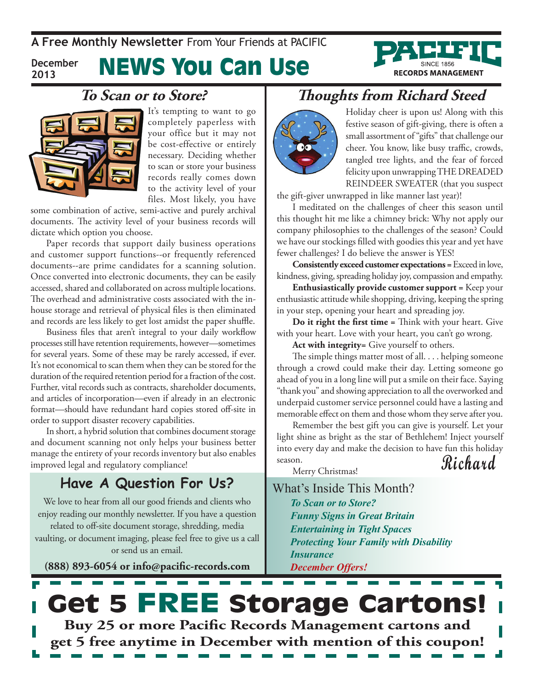**A Free Monthly Newsletter** From Your Friends at Pacific

**December 2013**

# News You Can Use



#### **To Scan or to Store?**



It's tempting to want to go completely paperless with your office but it may not be cost-effective or entirely necessary. Deciding whether to scan or store your business records really comes down to the activity level of your files. Most likely, you have

some combination of active, semi-active and purely archival documents. The activity level of your business records will dictate which option you choose.

Paper records that support daily business operations and customer support functions--or frequently referenced documents--are prime candidates for a scanning solution. Once converted into electronic documents, they can be easily accessed, shared and collaborated on across multiple locations. The overhead and administrative costs associated with the inhouse storage and retrieval of physical files is then eliminated and records are less likely to get lost amidst the paper shuffle.

Business files that aren't integral to your daily workflow processes still have retention requirements, however—sometimes for several years. Some of these may be rarely accessed, if ever. It's not economical to scan them when they can be stored for the duration of the required retention period for a fraction of the cost. Further, vital records such as contracts, shareholder documents, and articles of incorporation—even if already in an electronic format—should have redundant hard copies stored off-site in order to support disaster recovery capabilities.

In short, a hybrid solution that combines document storage and document scanning not only helps your business better manage the entirety of your records inventory but also enables improved legal and regulatory compliance!

#### **Have A Question For Us?**

We love to hear from all our good friends and clients who enjoy reading our monthly newsletter. If you have a question related to off-site document storage, shredding, media vaulting, or document imaging, please feel free to give us a call or send us an email.

**(888) 893-6054 or info@pacific-records.com**

### **Thoughts from Richard Steed**



Holiday cheer is upon us! Along with this festive season of gift-giving, there is often a small assortment of "gifts" that challenge our cheer. You know, like busy traffic, crowds, tangled tree lights, and the fear of forced felicity upon unwrapping THE DREADED REINDEER SWEATER (that you suspect

the gift-giver unwrapped in like manner last year)!

I meditated on the challenges of cheer this season until this thought hit me like a chimney brick: Why not apply our company philosophies to the challenges of the season? Could we have our stockings filled with goodies this year and yet have fewer challenges? I do believe the answer is YES!

**Consistently exceed customer expectations =** Exceed in love, kindness, giving, spreading holiday joy, compassion and empathy.

**Enthusiastically provide customer support =** Keep your enthusiastic attitude while shopping, driving, keeping the spring in your step, opening your heart and spreading joy.

**Do it right the first time =** Think with your heart. Give with your heart. Love with your heart, you can't go wrong.

**Act with integrity=** Give yourself to others.

The simple things matter most of all. . . . helping someone through a crowd could make their day. Letting someone go ahead of you in a long line will put a smile on their face. Saying "thank you" and showing appreciation to all the overworked and underpaid customer service personnel could have a lasting and memorable effect on them and those whom they serve after you.

**Richard** Remember the best gift you can give is yourself. Let your light shine as bright as the star of Bethlehem! Inject yourself into every day and make the decision to have fun this holiday season.

Merry Christmas!

What's Inside This Month? *To Scan or to Store? Funny Signs in Great Britain Entertaining in Tight Spaces Protecting Your Family with Disability Insurance December Offers!*

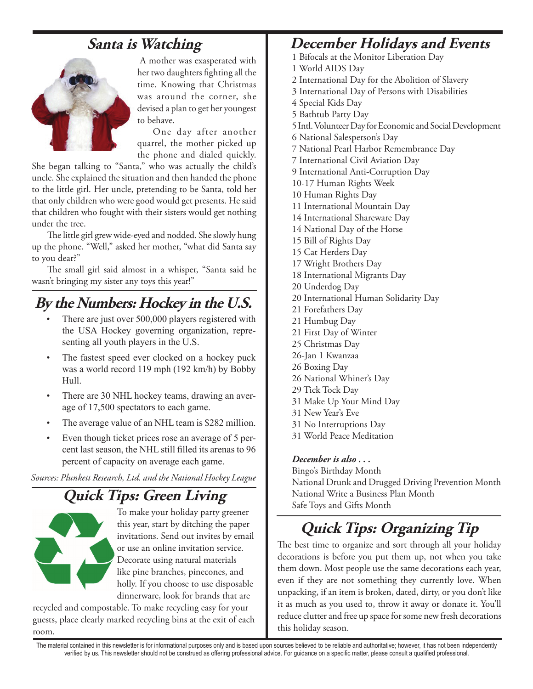

 A mother was exasperated with her two daughters fighting all the time. Knowing that Christmas was around the corner, she devised a plan to get her youngest to behave.

One day after another quarrel, the mother picked up the phone and dialed quickly.

She began talking to "Santa," who was actually the child's uncle. She explained the situation and then handed the phone to the little girl. Her uncle, pretending to be Santa, told her that only children who were good would get presents. He said that children who fought with their sisters would get nothing under the tree.

The little girl grew wide-eyed and nodded. She slowly hung up the phone. "Well," asked her mother, "what did Santa say to you dear?"

The small girl said almost in a whisper, "Santa said he wasn't bringing my sister any toys this year!"

### **By the Numbers: Hockey in the U.S.**

- There are just over 500,000 players registered with the USA Hockey governing organization, representing all youth players in the U.S.
- The fastest speed ever clocked on a hockey puck was a world record 119 mph (192 km/h) by Bobby Hull.
- There are 30 NHL hockey teams, drawing an average of 17,500 spectators to each game.
- The average value of an NHL team is \$282 million.
- • Even though ticket prices rose an average of 5 percent last season, the NHL still filled its arenas to 96 percent of capacity on average each game.

*Sources: Plunkett Research, Ltd. and the National Hockey League* 

### **Quick Tips: Green Living**



To make your holiday party greener this year, start by ditching the paper invitations. Send out invites by email or use an online invitation service. Decorate using natural materials like pine branches, pinecones, and holly. If you choose to use disposable dinnerware, look for brands that are

recycled and compostable. To make recycling easy for your guests, place clearly marked recycling bins at the exit of each room.

### **Santa is Watching December Holidays and Events**

- 1 Bifocals at the Monitor Liberation Day
- 1 World AIDS Day
- 2 International Day for the Abolition of Slavery
- 3 International Day of Persons with Disabilities
- 4 Special Kids Day
- 5 Bathtub Party Day

5 Intl. Volunteer Day for Economic and Social Development

6 National Salesperson's Day

7 National Pearl Harbor Remembrance Day

7 International Civil Aviation Day

- 9 International Anti-Corruption Day
- 10-17 Human Rights Week
- 10 Human Rights Day
- 11 International Mountain Day
- 14 International Shareware Day
- 14 National Day of the Horse
- 15 Bill of Rights Day
- 15 Cat Herders Day
- 17 Wright Brothers Day
- 18 International Migrants Day
- 20 Underdog Day 20 International Human Solidarity Day
- 21 Forefathers Day
- 21 Humbug Day
- 21 First Day of Winter
- 25 Christmas Day
- 26-Jan 1 Kwanzaa
- 26 Boxing Day
- 26 National Whiner's Day
- 29 Tick Tock Day
- 31 Make Up Your Mind Day
- 31 New Year's Eve
- 31 No Interruptions Day
- 31 World Peace Meditation

#### *December is also . . .*

Bingo's Birthday Month National Drunk and Drugged Driving Prevention Month National Write a Business Plan Month Safe Toys and Gifts Month

### **Quick Tips: Organizing Tip**

The best time to organize and sort through all your holiday decorations is before you put them up, not when you take them down. Most people use the same decorations each year, even if they are not something they currently love. When unpacking, if an item is broken, dated, dirty, or you don't like it as much as you used to, throw it away or donate it. You'll reduce clutter and free up space for some new fresh decorations this holiday season.

The material contained in this newsletter is for informational purposes only and is based upon sources believed to be reliable and authoritative; however, it has not been independently verified by us. This newsletter should not be construed as offering professional advice. For guidance on a specific matter, please consult a qualified professional.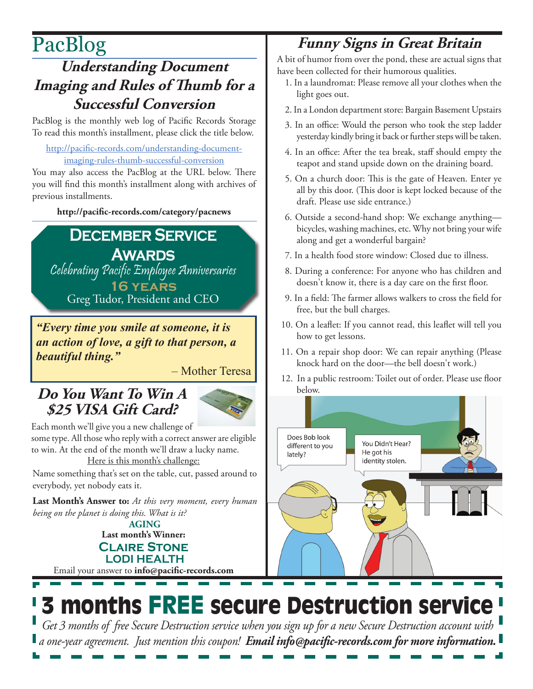# PacBlog

### **Understanding Document Imaging and Rules of Thumb for a Successful Conversion**

PacBlog is the monthly web log of Pacific Records Storage To read this month's installment, please click the title below.

[http://pacific-records.com/understanding-document](http://pacific-records.com/understanding-document-imaging-rules-thumb-successful-conversion)[imaging-rules-thumb-successful-conversion](http://pacific-records.com/understanding-document-imaging-rules-thumb-successful-conversion)

You may also access the PacBlog at the URL below. There you will find this month's installment along with archives of previous installments.

**<http://pacific-records.com/category/pacnews>**

# **December Service**

**Awards** Celebrating Pacific Employee Anniversaries **16 years**

Greg Tudor, President and CEO

*"Every time you smile at someone, it is an action of love, a gift to that person, a beautiful thing."* 

– Mother Teresa

### **Do You Want To Win A \$25 VISA Gift Card?**



Each month we'll give you a new challenge of some type. All those who reply with a correct answer are eligible to win. At the end of the month we'll draw a lucky name. Here is this month's challenge:

Name something that's set on the table, cut, passed around to everybody, yet nobody eats it.

**Last Month's Answer to:** *At this very moment, every human being on the planet is doing this. What is it?*

**Last month's Winner: Claire Stone LODI HEALTH AGING**

Email your answer to **info@pacific-records.com**

### **Funny Signs in Great Britain**

A bit of humor from over the pond, these are actual signs that have been collected for their humorous qualities.

- 1. In a laundromat: Please remove all your clothes when the light goes out.
- 2. In a London department store: Bargain Basement Upstairs
- 3. In an office: Would the person who took the step ladder yesterday kindly bring it back or further steps will be taken.
- 4. In an office: After the tea break, staff should empty the teapot and stand upside down on the draining board.
- 5. On a church door: This is the gate of Heaven. Enter ye all by this door. (This door is kept locked because of the draft. Please use side entrance.)
- 6. Outside a second-hand shop: We exchange anything bicycles, washing machines, etc. Why not bring your wife along and get a wonderful bargain?
- 7. In a health food store window: Closed due to illness.
- 8. During a conference: For anyone who has children and doesn't know it, there is a day care on the first floor.
- 9. In a field: The farmer allows walkers to cross the field for free, but the bull charges.
- 10. On a leaflet: If you cannot read, this leaflet will tell you how to get lessons.
- 11. On a repair shop door: We can repair anything (Please knock hard on the door—the bell doesn't work.)
- 12. In a public restroom: Toilet out of order. Please use floor below.



# 3 months FREE secure Destruction service

*Get 3 months of free Secure Destruction service when you sign up for a new Secure Destruction account with a one-year agreement. Just mention this coupon! Email info@pacific-records.com for more information.*